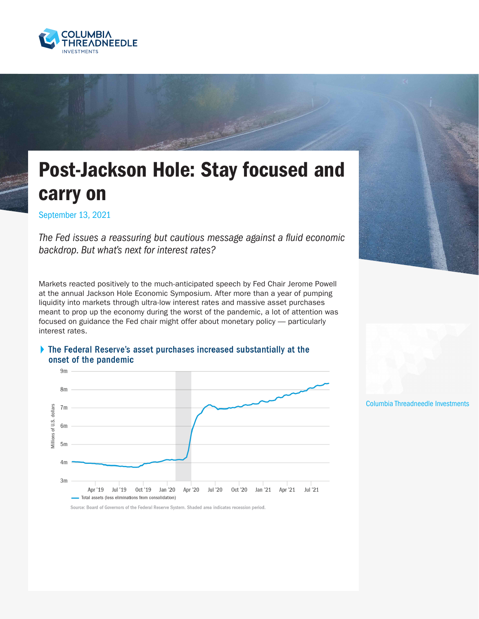

## Post-Jackson Hole: Stay focused and carry on

September 13, 2021

The Fed issues a reassuring but cautious message against a fluid economic *backdrop. But what's next for interest rates?* 

Markets reacted positively to the much-anticipated speech by Fed Chair Jerome Powell at the annual Jackson Hole Economic Symposium. After more than a year of pumping liquidity into markets through ultra-low interest rates and massive asset purchases meant to prop up the economy during the worst of the pandemic, a lot of attention was focused on guidance the Fed chair might offer about monetary policy — particularly interest rates.



## The Federal Reserve's asset purchases increased substantially at the onset of the pandemic





Columbia Threadneedle Investments

Source: Board of Governors of the Federal Reserve System. Shaded area indicates recession period.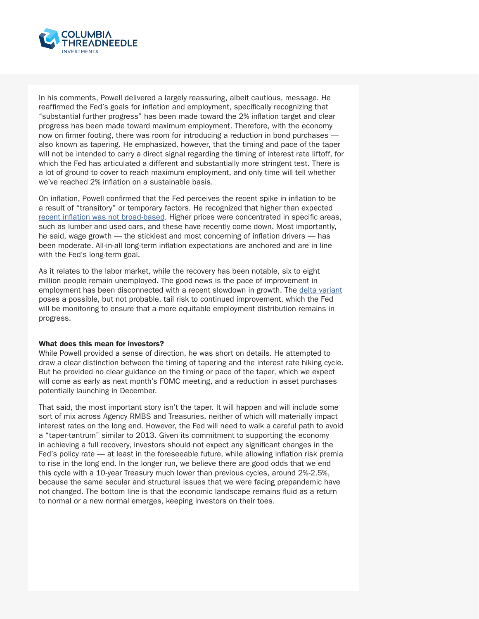

In his comments, Powell delivered a largely reassuring, albeit cautious, message. He reaffirmed the Fed's goals for inflation and employment, specifically recognizing that "substantial further progress" has been made toward the 2% inflation target and clear progress has been made toward maximum employment. Therefore, with the economy now on firmer footing, there was room for introducing a reduction in bond purchases also known as tapering. He emphasized, however, that the timing and pace of the taper will not be intended to carry a direct signal regarding the timing of interest rate liftoff, for which the Fed has articulated a different and substantially more stringent test. There is a lot of ground to cover to reach maximum employment, and only time will tell whether we've reached 2% inflation on a sustainable basis.

On inflation, Powell confirmed that the Fed perceives the recent spike in inflation to be a result of "transitory" or temporary factors. He recognized that higher than expected [recent inflation was not broad-based](https://www.columbiathreadneedleus.com/blog/chart-the-inflation-story-is-more-than-just-one-number). Higher prices were concentrated in specific areas, such as lumber and used cars, and these have recently come down. Most importantly, he said, wage growth — the stickiest and most concerning of inflation drivers — has been moderate. All-in-all long-term inflation expectations are anchored and are in line with the Fed's long-term goal.

As it relates to the labor market, while the recovery has been notable, six to eight million people remain unemployed. The good news is the pace of improvement in employment has been disconnected with a recent slowdown in growth. The [delta variant](https://www.columbiathreadneedleus.com/blog/when-will-u.s.-daily-life-return-to-normal) poses a possible, but not probable, tail risk to continued improvement, which the Fed will be monitoring to ensure that a more equitable employment distribution remains in progress.

## What does this mean for investors?

While Powell provided a sense of direction, he was short on details. He attempted to draw a clear distinction between the timing of tapering and the interest rate hiking cycle. But he provided no clear guidance on the timing or pace of the taper, which we expect will come as early as next month's FOMC meeting, and a reduction in asset purchases potentially launching in December.

That said, the most important story isn't the taper. It will happen and will include some sort of mix across Agency RMBS and Treasuries, neither of which will materially impact interest rates on the long end. However, the Fed will need to walk a careful path to avoid a "taper-tantrum" similar to 2013. Given its commitment to supporting the economy in achieving a full recovery, investors should not expect any significant changes in the Fed's policy rate — at least in the foreseeable future, while allowing inflation risk premia to rise in the long end. In the longer run, we believe there are good odds that we end this cycle with a 10-year Treasury much lower than previous cycles, around 2%-2.5%, because the same secular and structural issues that we were facing prepandemic have not changed. The bottom line is that the economic landscape remains fluid as a return to normal or a new normal emerges, keeping investors on their toes.